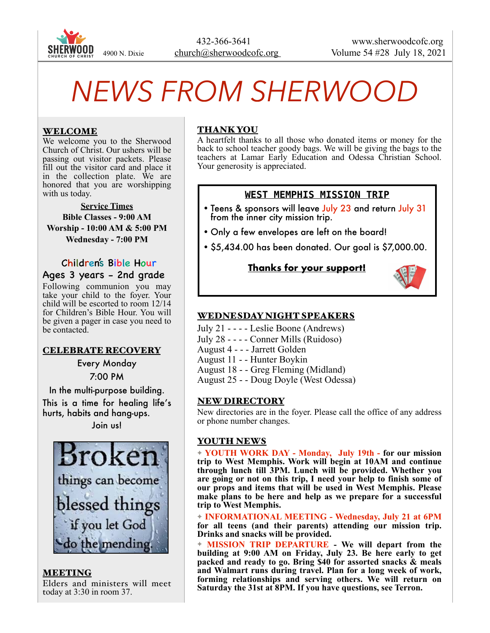

# *NEWS FROM SHERWOOD*

## WELCOME

We welcome you to the Sherwood Church of Christ. Our ushers will be passing out visitor packets. Please fill out the visitor card and place it in the collection plate. We are honored that you are worshipping with us today.

**Service Times Bible Classes - 9:00 AM Worship - 10:00 AM & 5:00 PM Wednesday - 7:00 PM** 

 Children's Bible Hour Ages 3 years - 2nd grade

Following communion you may take your child to the foyer. Your child will be escorted to room 12/14 for Children's Bible Hour. You will be given a pager in case you need to be contacted.

#### CELEBRATE RECOVERY

Every Monday 7:00 PM

In the multi-purpose building.

This is a time for healing life's hurts, habits and hang-ups.

Join us!



MEETING Elders and ministers will meet today at 3:30 in room 37.

# THANK YOU

A heartfelt thanks to all those who donated items or money for the back to school teacher goody bags. We will be giving the bags to the teachers at Lamar Early Education and Odessa Christian School. Your generosity is appreciated.

# **WEST MEMPHIS MISSION TRIP**

- Teens & sponsors will leave July 23 and return July 31 from the inner city mission trip.
- Only a few envelopes are left on the board!
- \$5,434.00 has been donated. Our goal is \$7,000.00.

# **Thanks for your support!**



# WEDNESDAY NIGHT SPEAKERS

- July 21 - - Leslie Boone (Andrews)
- July 28 - - Conner Mills (Ruidoso)
- August 4 - Jarrett Golden
- August 11 - Hunter Boykin
- August 18 - Greg Fleming (Midland)
- August 25 - Doug Doyle (West Odessa)

#### NEW DIRECTORY

New directories are in the foyer. Please call the office of any address or phone number changes.

#### YOUTH NEWS

✦ **YOUTH WORK DAY - Monday, July 19th - for our mission trip to West Memphis. Work will begin at 10AM and continue through lunch till 3PM. Lunch will be provided. Whether you are going or not on this trip, I need your help to finish some of our props and items that will be used in West Memphis. Please make plans to be here and help as we prepare for a successful trip to West Memphis.** 

✦ **INFORMATIONAL MEETING - Wednesday, July 21 at 6PM for all teens (and their parents) attending our mission trip. Drinks and snacks will be provided.** 

✦ **MISSION TRIP DEPARTURE - We will depart from the building at 9:00 AM on Friday, July 23. Be here early to get packed and ready to go. Bring \$40 for assorted snacks & meals and Walmart runs during travel. Plan for a long week of work, forming relationships and serving others. We will return on Saturday the 31st at 8PM. If you have questions, see Terron.**